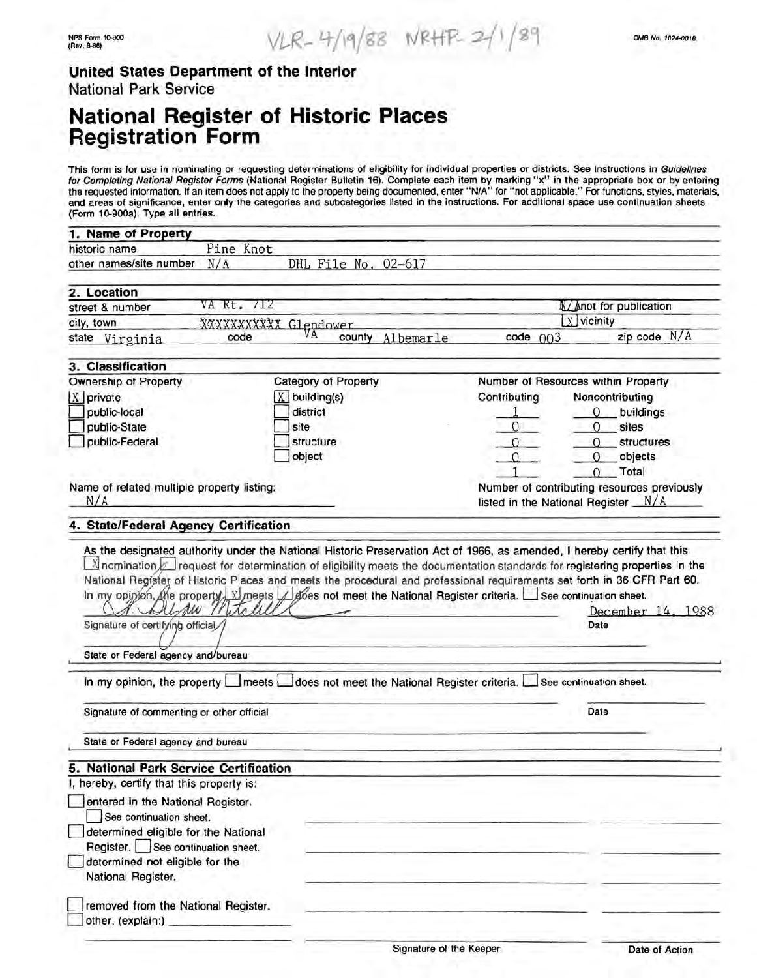### **United States Department of the Interior**  National Park Service

## **National Register of Historic Places Registration Form**

This form is for use in nominating or requesting determinations of eligibility for individual properties or districts. See instructions in Guidelines for Completing National Register Forms (National Register Bulletin 16). Complete each item by marking "x" in the appropriate box or by entering the requested information. If an item does not apply to the property being documented, enter "N/A" for "not applicable." For functions, styles, materials, and areas of significance, enter only the categories and subcategories listed in the instructions. For additional space use continuation sheets (Form 10-900a). Type all entries.

| 1. Name of Property                                   |               |                                                                                                         |                                                                                      |                                     |  |
|-------------------------------------------------------|---------------|---------------------------------------------------------------------------------------------------------|--------------------------------------------------------------------------------------|-------------------------------------|--|
| historic name                                         | Pine Knot     |                                                                                                         |                                                                                      |                                     |  |
| other names/site number                               | N/A           | DHL File No. 02-617                                                                                     |                                                                                      |                                     |  |
|                                                       |               |                                                                                                         |                                                                                      |                                     |  |
| 2. Location                                           | VA Rt. 712    |                                                                                                         |                                                                                      | N/ Anot for publication             |  |
| street & number                                       |               |                                                                                                         | $X$ vicinity                                                                         |                                     |  |
| city, town                                            | code          | XXXXXXXXXX Glendower<br>VА                                                                              |                                                                                      | zip code N/A                        |  |
| state Virginia                                        |               | county<br>Albemarle                                                                                     | $code$ $003$                                                                         |                                     |  |
| 3. Classification                                     |               |                                                                                                         |                                                                                      |                                     |  |
| Ownership of Property                                 |               | Category of Property                                                                                    |                                                                                      | Number of Resources within Property |  |
| $X$ private                                           |               | X building(s)                                                                                           | Contributing                                                                         | Noncontributing                     |  |
| public-local                                          |               | district                                                                                                |                                                                                      | 0<br>_buildings                     |  |
| public-State                                          |               | site                                                                                                    | $\Omega$                                                                             | $\Omega$<br>sites                   |  |
| public-Federal                                        |               | structure                                                                                               | $\Omega$                                                                             | $\Omega$<br>structures              |  |
|                                                       |               | object                                                                                                  | O                                                                                    | $\Omega$<br>objects                 |  |
|                                                       |               |                                                                                                         |                                                                                      | $0$ Total                           |  |
|                                                       |               |                                                                                                         |                                                                                      |                                     |  |
| Name of related multiple property listing:<br>N/A     |               |                                                                                                         | Number of contributing resources previously<br>listed in the National Register $N/A$ |                                     |  |
| 4. State/Federal Agency Certification                 |               |                                                                                                         |                                                                                      |                                     |  |
|                                                       |               |                                                                                                         |                                                                                      |                                     |  |
| Signature of certifying official                      | Delmu Mitchel |                                                                                                         | December 14, 1988<br>Date                                                            |                                     |  |
|                                                       |               |                                                                                                         |                                                                                      |                                     |  |
| State or Federal agency and/bureau                    |               |                                                                                                         |                                                                                      |                                     |  |
|                                                       |               | In my opinion, the property meets does not meet the National Register criteria. See continuation sheet. |                                                                                      |                                     |  |
| Signature of commenting or other official             |               |                                                                                                         |                                                                                      | Date                                |  |
| State or Federal agency and bureau                    |               |                                                                                                         |                                                                                      |                                     |  |
| 5. National Park Service Certification                |               |                                                                                                         |                                                                                      |                                     |  |
| I, hereby, certify that this property is:             |               |                                                                                                         |                                                                                      |                                     |  |
| entered in the National Register.                     |               |                                                                                                         |                                                                                      |                                     |  |
| See continuation sheet.                               |               |                                                                                                         |                                                                                      |                                     |  |
|                                                       |               |                                                                                                         |                                                                                      |                                     |  |
| determined eligible for the National                  |               |                                                                                                         |                                                                                      |                                     |  |
| Register. See continuation sheet.                     |               |                                                                                                         |                                                                                      |                                     |  |
| determined not eligible for the<br>National Register. |               |                                                                                                         |                                                                                      |                                     |  |
| removed from the National Register.                   |               |                                                                                                         |                                                                                      |                                     |  |
| other, (explain:)                                     |               |                                                                                                         |                                                                                      |                                     |  |
|                                                       |               |                                                                                                         |                                                                                      |                                     |  |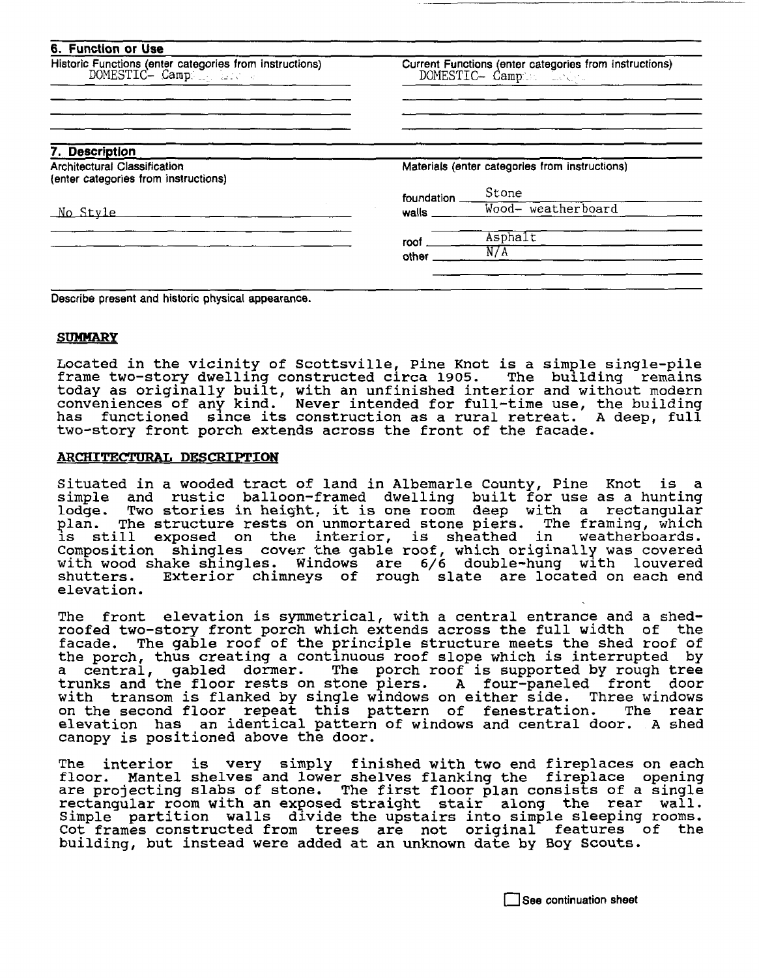| Current Functions (enter categories from instructions)<br>DOMESTIC- Campan Leep |                       |  |
|---------------------------------------------------------------------------------|-----------------------|--|
|                                                                                 |                       |  |
|                                                                                 |                       |  |
| Materials (enter categories from instructions)                                  |                       |  |
|                                                                                 | Stone                 |  |
| $m$ alls $\_\_\_\$                                                              | Wood- weatherboard    |  |
| roof                                                                            | $A$ sphalt            |  |
|                                                                                 | N/A                   |  |
|                                                                                 | foundation _<br>other |  |

Describe present and historic physical appearance.

#### **SUMMARY**

Located in the vicinity of Scottsville, Pine Knot is a simple single-pile frame two-story dwelling constructed circa 1905. The building remains today as originally built, with an unfinished interior and without modern conveniences of any kind. Never intended for full-time use, the building has functioned since its construction as a rural retreat. A deep, full two-story front porch extends across the front of the facade.

#### **ARCHITECTURAL DESCRIPTION**

Situated in a wooded tract of land in Albemarle County, Pine Knot is a<br>simple and rustic balloon-framed dwelling built for use as a hunting lodge. Two stories in height, it is one room deep with a rectangular<br>plan. The structure rests on unmortared stone piers. The framing, which<br>is still exposed on the interior, is sheathed in weatherboards. still exposed on the interior, is sheathed in Composition shingles cover the gable roof, which originally was covered with wood shake shingles. Windows are 6/6 double-hung with louvered Exterior chimneys of rough slate are located on each end elevation.

The front elevation is symmetrical, with a central entrance and a shedroofed two-story front porch which extends across the full width of the facade. The gable roof of the principle structure meets the shed roof of the porch, thus creating a continuous roof slope which is interrupted by a central, gabled dormer. The porch roof is supported by rough tree trunks and the floor rests on stone piers. A four-paneled front door trunks and the floor rests on stone piers. A four-paneled front door<br>with transom is flanked by single windows on either side. Three windows on the second floor repeat this pattern of fenestration. The rear elevation has an identical pattern of windows and central door. A shed canopy is positioned above the door.

The interior is very simply finished with two end fireplaces on each floor. Mantel shelves and lower shelves flanking the fireplace opening are projecting slabs of stone. The first floor plan consists of a single rectangular room with an exposed straight stair along the rear wall. Simple partition walls divide the upstairs into simple sleeping rooms. Cot frames constructed from trees are not original features of the building, but instead were added at an unknown date by Boy Scouts.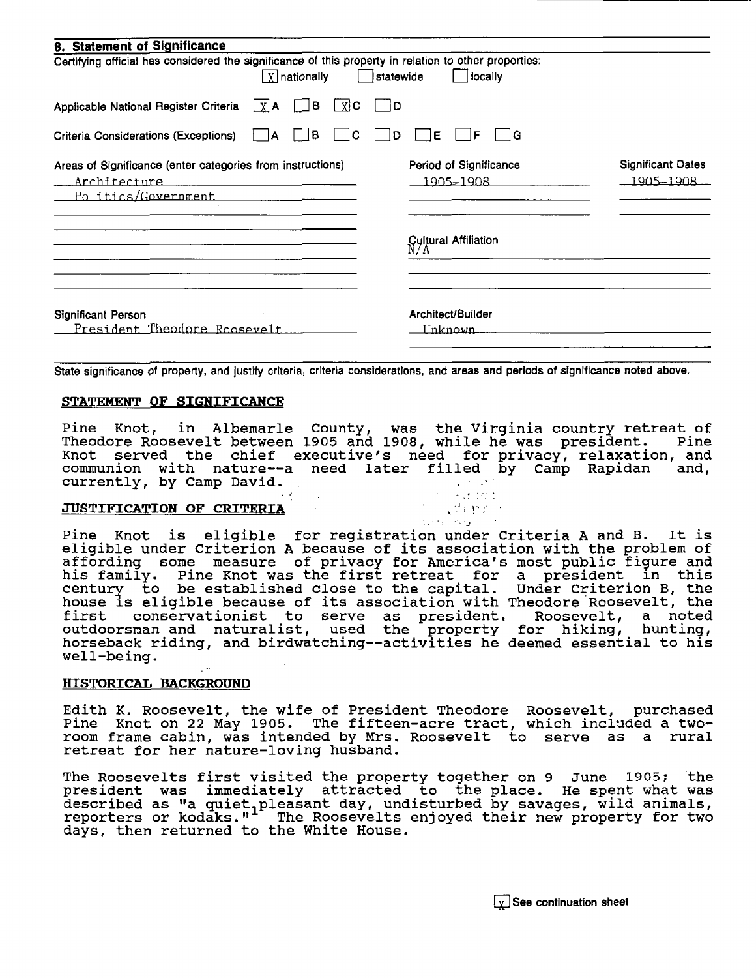| 8. Statement of Significance                                                                             |      |                                                                                           |     |           |                                              |                                       |
|----------------------------------------------------------------------------------------------------------|------|-------------------------------------------------------------------------------------------|-----|-----------|----------------------------------------------|---------------------------------------|
| Certifying official has considered the significance of this property in relation to other properties:    |      | <b>X</b> nationally                                                                       |     | statewide | locally                                      |                                       |
| Applicable National Register Criteria $\lfloor x \rfloor$ A                                              |      | B<br><b>Contract Contract</b>                                                             | X C | - 1D      |                                              |                                       |
| Criteria Considerations (Exceptions)                                                                     | 1 IA | JB                                                                                        | C   | D         | ۱G<br>Е                                      |                                       |
| Areas of Significance (enter categories from instructions)<br><u>Architecture</u><br>Politics/Government |      | the company of the company of the company of the company of the company of the company of |     |           | Period of Significance<br><u> 1905–1908 </u> | <b>Significant Dates</b><br>1905–1908 |
|                                                                                                          |      |                                                                                           |     |           | Cultural Affiliation<br>N/A                  |                                       |
| Significant Person<br><u> President Theodore Roosevelt.</u>                                              |      |                                                                                           |     |           | Architect/Builder<br><u>IInknown</u>         |                                       |

State significance of property, and justify criteria, criteria considerations, and areas and periods of significance noted above.

### **STATEMENT OF SIGNIFICANCE**

Pine Knot, in Albemarle County, was the Virginia country retreat of Theodore Roosevelt between 1905 and 1908, while he was president. Pine Theodore Roosevelt between 1905 and 1908, while he was president. Pine<br>Knot served the chief executive's need for privacy, relaxation, and knot served the chief executive s heed for privacy, refaxation, and<br>communion with nature--a need later filled by Camp Rapidan and, currently, by Camp David. (1) 1992 The extension of the currently, by Camp David.

. ,'..J

# **JUSTIFICATION OF CRITERIA ... ... ... ... ... ... ... ... ...**

Pine Knot is eligible for registration under Criteria A and B. It is eligible under Criterion A because of its association with the problem of affording some measure of privacy for America's most public figure and affording some measure of privacy for America's most public figure and<br>his family. Pine Knot was the first retreat for a president in this century. The mot was the first fetted for a president in this century to be established close to the capital. Under Criterion B, the house is eligible because of its association with Theodore Roosevelt, the<br>first conservationist to serve as president. Roosevelt, a noted conservationist to serve as president. Roosevelt, a noted<br>man and naturalist, used the property for hiking, hunting, outdoorsman and naturalist, used the property horseback riding, and birdwatching--activities he deemed essential to his well-being.

#### **HISTORICAL BACKGROUND**

Edith K. Roosevelt, the wife of President Theodore Roosevelt, purchased<br>Pine Knot on 22 May 1905. The fifteen-acre tract, which included a tworoom frame cabin, was intended by Mrs. Roosevelt to serve as a rural retreat for her nature-loving husband.

The Roosevelts first visited the property together on 9 June 1905: the president was immediately attracted to the place. He spent what was president was immediately decreased to the prace. He spend what was described as "a quiet preasant day, undistanced by savages, wild animals,<br>reporters or kodaks." The Roosevelts enjoyed their new property for two days, then returned to the White House.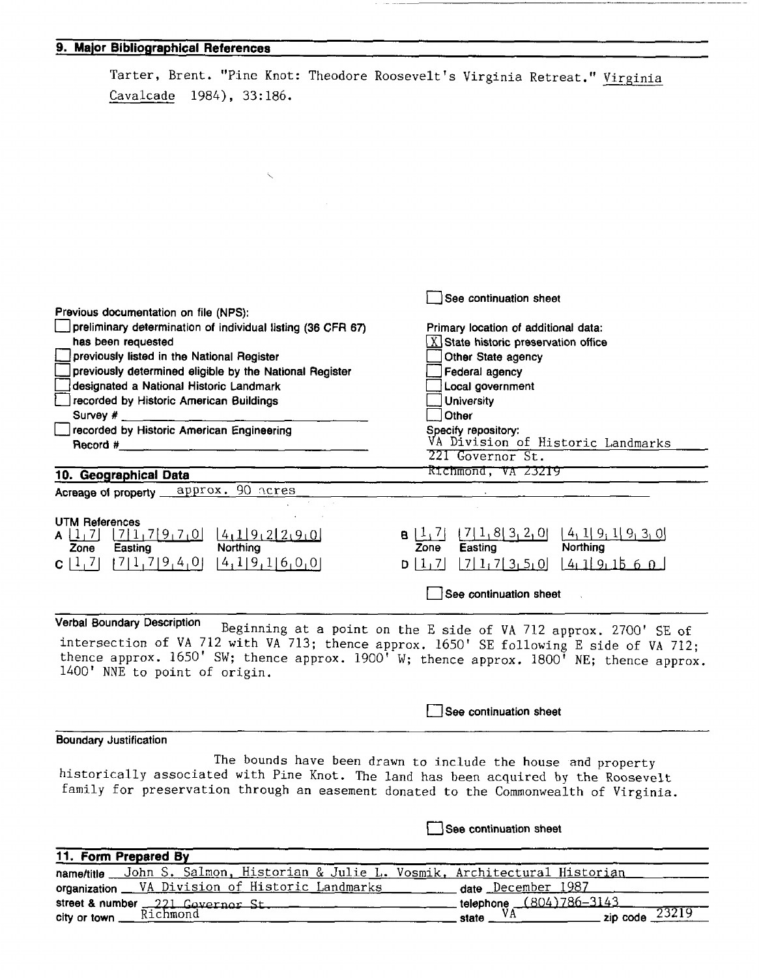### **9. Major Bibliographical References**

|                                                                                                                           | Tarter, Brent. "Pine Knot: Theodore Roosevelt's Virginia Retreat." Virginia                                    |  |  |  |
|---------------------------------------------------------------------------------------------------------------------------|----------------------------------------------------------------------------------------------------------------|--|--|--|
| Cavalcade 1984), 33:186.                                                                                                  |                                                                                                                |  |  |  |
|                                                                                                                           |                                                                                                                |  |  |  |
|                                                                                                                           |                                                                                                                |  |  |  |
|                                                                                                                           |                                                                                                                |  |  |  |
|                                                                                                                           |                                                                                                                |  |  |  |
|                                                                                                                           |                                                                                                                |  |  |  |
|                                                                                                                           |                                                                                                                |  |  |  |
|                                                                                                                           |                                                                                                                |  |  |  |
|                                                                                                                           |                                                                                                                |  |  |  |
|                                                                                                                           |                                                                                                                |  |  |  |
|                                                                                                                           | See continuation sheet                                                                                         |  |  |  |
| Previous documentation on file (NPS):<br>preliminary determination of individual listing (36 CFR 67)                      | Primary location of additional data:                                                                           |  |  |  |
| has been requested                                                                                                        | $\chi$ State historic preservation office                                                                      |  |  |  |
| previously listed in the National Register<br>previously determined eligible by the National Register                     | Other State agency<br>Federal agency                                                                           |  |  |  |
| designated a National Historic Landmark                                                                                   | Local government                                                                                               |  |  |  |
| recorded by Historic American Buildings                                                                                   | <b>University</b>                                                                                              |  |  |  |
| Survey # j<br>recorded by Historic American Engineering                                                                   | Other<br>Specify repository:                                                                                   |  |  |  |
| Record #                                                                                                                  | VA Division of Historic Landmarks                                                                              |  |  |  |
|                                                                                                                           | 221 Governor St.<br>Richmond, VA 23219                                                                         |  |  |  |
| 10. Geographical Data<br>90 acres<br>approx.<br>Acreage of property _                                                     |                                                                                                                |  |  |  |
|                                                                                                                           |                                                                                                                |  |  |  |
| <b>UTM References</b><br>[7]1,7[9,7,0]<br>4,19,22,9,0<br>$\lfloor$ 1, 7]                                                  | $B[\frac{1}{2}]$                                                                                               |  |  |  |
| <b>Northing</b><br>Easting<br>Zone                                                                                        | $\frac{7 1,8 3,2,0 }{\text{Easting}}$<br>$\left[\frac{4}{1} \mid 9, 1 \mid 9, 3, 0\right]$<br>Northing<br>Zone |  |  |  |
| [7]1,7]9,4,0<br>[4,1]9,1[6,0,0]<br>C[1,7]                                                                                 | $[7]$ 1, 7 3 5 0 $[4]$ 1 9 1 5 6 0<br>D[1, 7]                                                                  |  |  |  |
|                                                                                                                           | See continuation sheet                                                                                         |  |  |  |
| Verbal Boundary Description                                                                                               | Beginning at a point on the E side of VA 712 approx. 2700' SE of                                               |  |  |  |
| intersection of VA 712 with VA 713; thence approx. 1650' SE following E side of VA 712;                                   |                                                                                                                |  |  |  |
| thence approx. 1650' SW; thence approx. 1900' W; thence approx. 1800' NE; thence approx.<br>1400' NNE to point of origin. |                                                                                                                |  |  |  |
|                                                                                                                           |                                                                                                                |  |  |  |

**Boundary Justification** 

The bounds have been drawn to include the house and property historically associated with Pine Knot. The land has been acquired by the Roosevelt family for preservation through an easement donated to the Commonwealth of Virginia.

**See continuation sheet** 

**See continuation sheet** 

-------------------··--·--·-

| nametitle John S. Salmon, Historian & Julie L. Vosmik, Architectural Historian |  |
|--------------------------------------------------------------------------------|--|
|                                                                                |  |
| organization __ VA Division of Historic Landmarks<br>_date December 1987       |  |
|                                                                                |  |
| street & number 221 Governor St.                                               |  |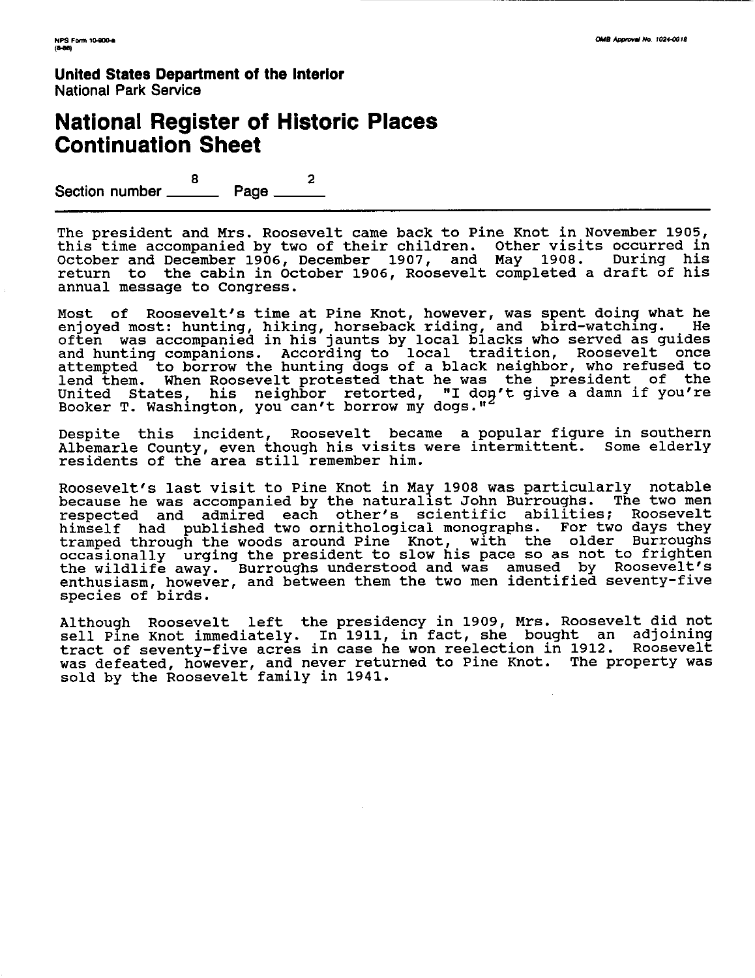**United States Department of the Interior**  National Park Service

## **National Register of Historic Places Continuation Sheet**

Section number \_\_\_\_\_\_\_\_ Page \_\_\_\_\_\_\_

The president and Mrs. Roosevelt came back to Pine Knot in November 1905, this time accompanied by two of their children. Other visits occurred in October and December 1906, December 1907, and May 1908. During his return to the cabin in October 1906, Roosevelt completed a draft of his annual message to Congress.

Most of Roosevelt's time at Pine Knot, however, was spent doing what he enjoyed most: hunting, hiking, horseback riding, and bird-watching. He often was accompanied in his jaunts by local blacks who served as guides and hunting companions. According to local tradition, Roosevelt once attempted to borrow the hunting dogs of a black neighbor, who refused to lend them. When Roosevelt protested that he was the president of the United States, his neighbor retorted, "I don't give a damn if you're Booker T. Washington, you can't borrow my dogs."

Despite this incident, Roosevelt became a popular figure in southern Albemarle County, even though his visits were intermittent. Some elderly residents of the area still remember him.

Roosevelt's last visit to Pine Knot in May 1908 was particularly motable because he was accompanied by the naturalist John Burroughs. The two men because he was accompanied by the naturalist bonn builoughs. The two ment himself had published two ornithological monographs. For two days they tramped through the woods around Pine Knot, with the older Burroughs occasionally urging the president to slow his pace so as not to frighten the wildlife away. Burroughs understood and was amused by Roosevelt's enthusiasm, however, and between them the two men identified seventy-five species of birds.

Althou9h Roosevelt left the presidency in 1909, Mrs. Roosevelt did not sell Pine Knot immediately. In 1911, in fact, she bought an adjoining<br>tract of seventy-five acres in case he won reelection in 1912. Roosevelt tract of seventy-five acres in case he won reelection in 1912. was defeated, however, and never returned to Pine Knot. The property was sold by the Roosevelt family in 1941.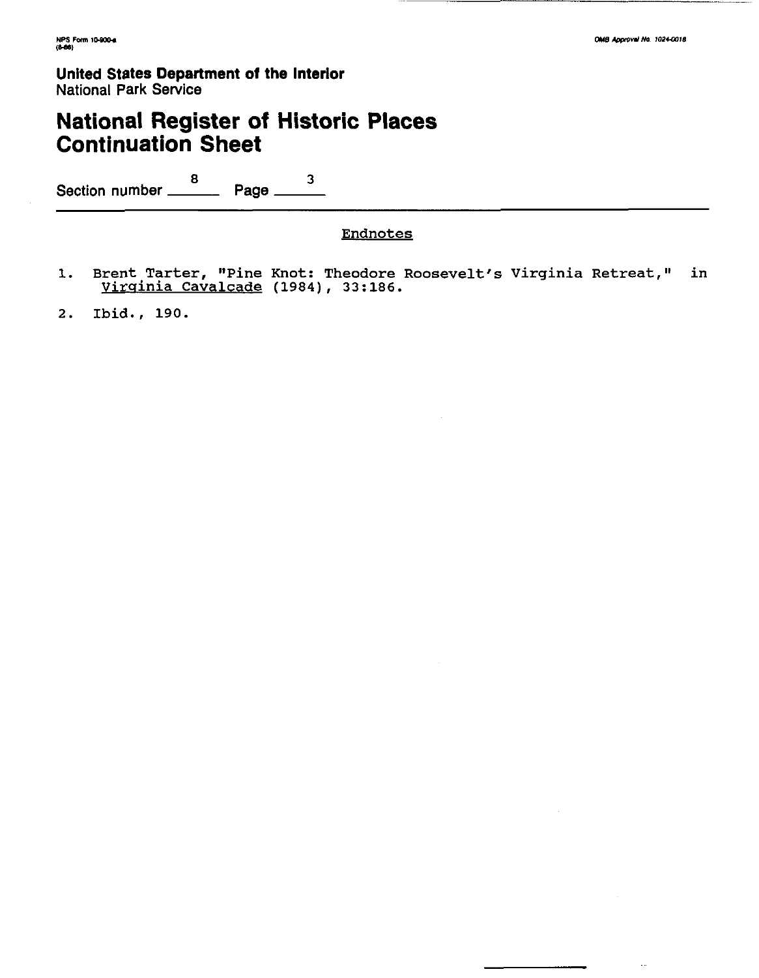**United States Department of the Interior**  National **Park Service** 

# **National Register of Historic Places Continuation Sheet**

Section number  $\frac{8}{2}$  Page  $\frac{3}{2}$ 

### Endnotes

1. Brent Tarter, "Pine Knot: Theodore Roosevelt's Virginia Retreat," in Virginia cavalcade (1984), 33:186.

2. Ibid., 190.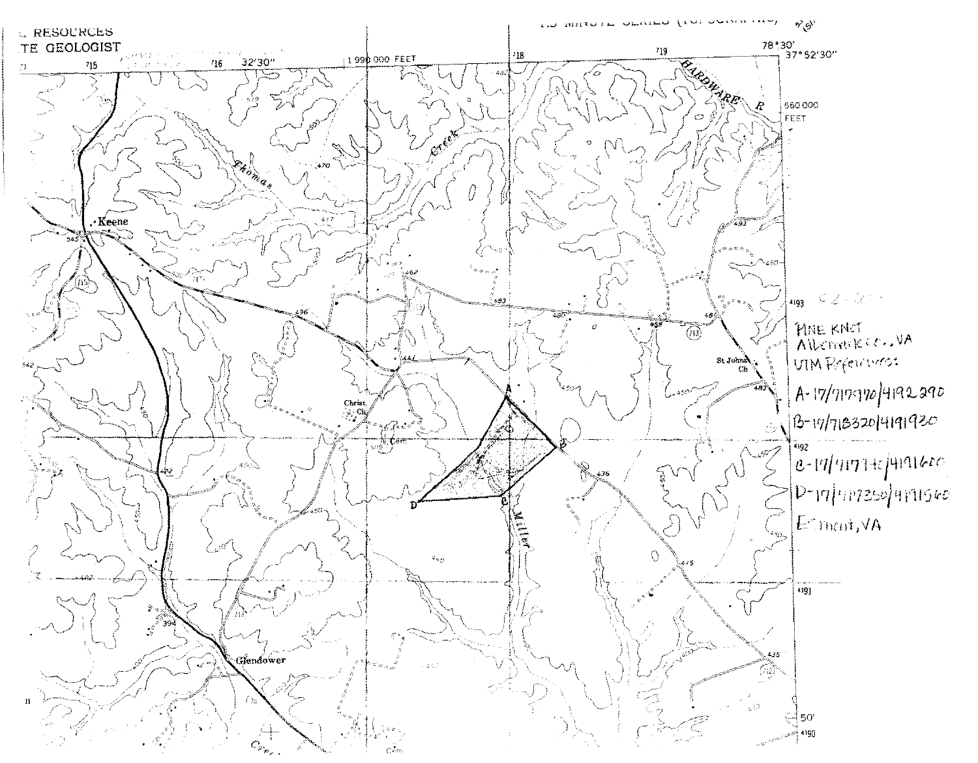